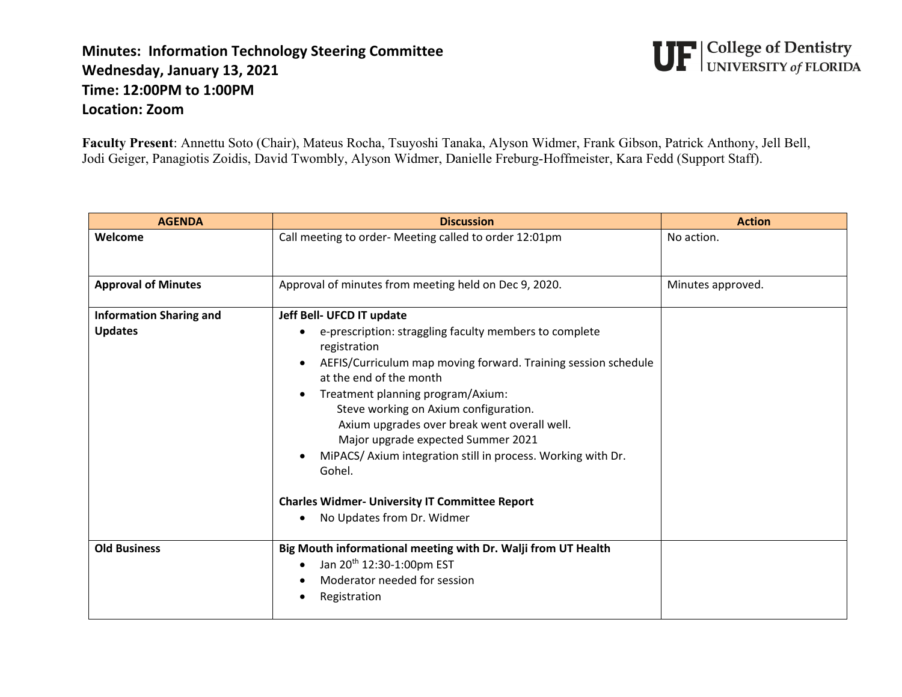## **Minutes: Information Technology Steering Committee Wednesday, January 13, 2021 Time: 12:00PM to 1:00PM Location: Zoom**

**UF** College of Dentistry<br>UF UNIVERSITY of FLORIDA

**Faculty Present**: Annettu Soto (Chair), Mateus Rocha, Tsuyoshi Tanaka, Alyson Widmer, Frank Gibson, Patrick Anthony, Jell Bell, Jodi Geiger, Panagiotis Zoidis, David Twombly, Alyson Widmer, Danielle Freburg-Hoffmeister, Kara Fedd (Support Staff).

| <b>AGENDA</b>                  | <b>Discussion</b>                                                                                                                                                                                                                                                                                                                                                                                                                                                                                        | <b>Action</b>     |
|--------------------------------|----------------------------------------------------------------------------------------------------------------------------------------------------------------------------------------------------------------------------------------------------------------------------------------------------------------------------------------------------------------------------------------------------------------------------------------------------------------------------------------------------------|-------------------|
| Welcome                        | Call meeting to order- Meeting called to order 12:01pm                                                                                                                                                                                                                                                                                                                                                                                                                                                   | No action.        |
| <b>Approval of Minutes</b>     | Approval of minutes from meeting held on Dec 9, 2020.                                                                                                                                                                                                                                                                                                                                                                                                                                                    | Minutes approved. |
| <b>Information Sharing and</b> | Jeff Bell- UFCD IT update                                                                                                                                                                                                                                                                                                                                                                                                                                                                                |                   |
| <b>Updates</b>                 | e-prescription: straggling faculty members to complete<br>registration<br>AEFIS/Curriculum map moving forward. Training session schedule<br>at the end of the month<br>Treatment planning program/Axium:<br>Steve working on Axium configuration.<br>Axium upgrades over break went overall well.<br>Major upgrade expected Summer 2021<br>MiPACS/ Axium integration still in process. Working with Dr.<br>Gohel.<br><b>Charles Widmer- University IT Committee Report</b><br>No Updates from Dr. Widmer |                   |
| <b>Old Business</b>            | Big Mouth informational meeting with Dr. Walji from UT Health<br>Jan 20 <sup>th</sup> 12:30-1:00pm EST<br>Moderator needed for session<br>Registration                                                                                                                                                                                                                                                                                                                                                   |                   |